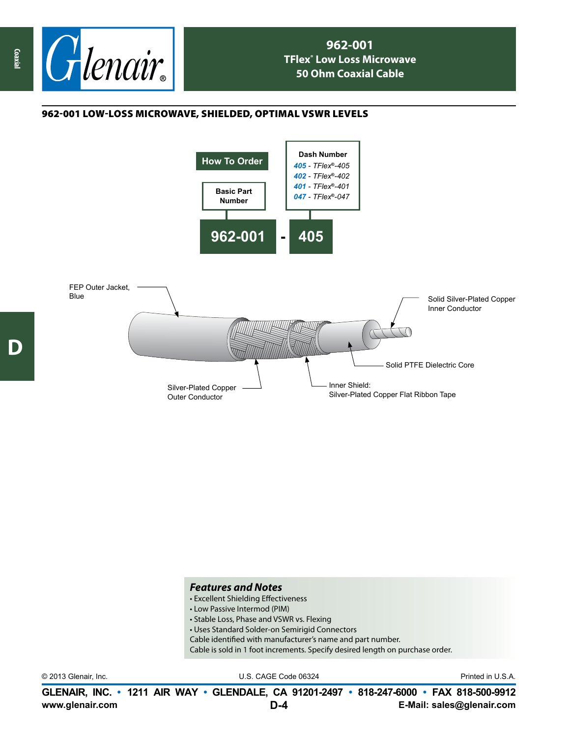

## **962-001 TFlex® Low Loss Microwave 50 Ohm Coaxial Cable**

## 962-001 low-loss microwave, shielded, optimal vswr levels



## *Features and Notes*

- Excellent Shielding Effectiveness
- Low Passive Intermod (PIM)
- Stable Loss, Phase and VSWR vs. Flexing
- Uses Standard Solder-on Semirigid Connectors
- Cable identified with manufacturer's name and part number.
- Cable is sold in 1 foot increments. Specify desired length on purchase order.

© 2013 Glenair, Inc. U.S. CAGE Code 06324 Printed in U.S.A.

**www.glenair.com E-Mail: sales@glenair.com GLENAIR, INC. • 1211 AIR WAY • GLENDALE, CA 91201-2497 • 818-247-6000 • FAX 818-500-9912 D-4**

**D**

**Coaxial**